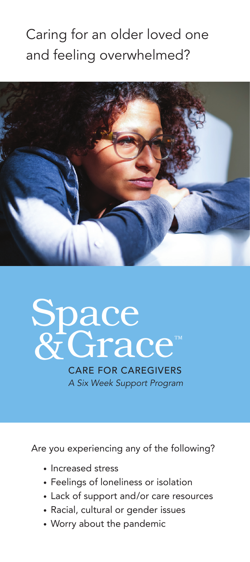### Caring for an older loved one and feeling overwhelmed?



## Grace™ Space  $8<sub>i</sub>$

CARE FOR CAREGIVERS *A Six Week Support Program*

Are you experiencing any of the following?

- Increased stress
- Feelings of loneliness or isolation
- Lack of support and/or care resources
- Racial, cultural or gender issues
- Worry about the pandemic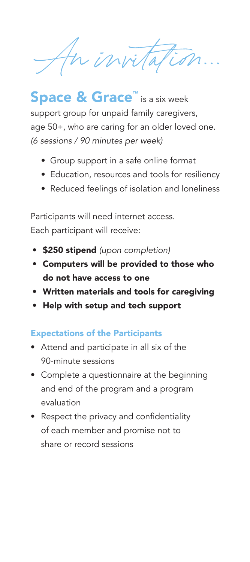In invitation ...

Space & Grace™ is a six week support group for unpaid family caregivers, age 50+, who are caring for an older loved one. *(6 sessions / 90 minutes per week)*

- Group support in a safe online format
- Education, resources and tools for resiliency
- Reduced feelings of isolation and loneliness

Participants will need internet access. Each participant will receive:

- \$250 stipend *(upon completion)*
- Computers will be provided to those who do not have access to one
- Written materials and tools for caregiving
- Help with setup and tech support

#### Expectations of the Participants

- Attend and participate in all six of the 90-minute sessions
- Complete a questionnaire at the beginning and end of the program and a program evaluation
- Respect the privacy and confidentiality of each member and promise not to share or record sessions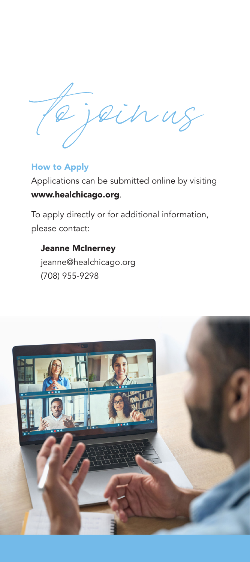to join us

#### How to Apply

Applications can be submitted online by visiting www.healchicago.org.

To apply directly or for additional information, please contact:

Jeanne McInerney jeanne@healchicago.org (708) 955-9298